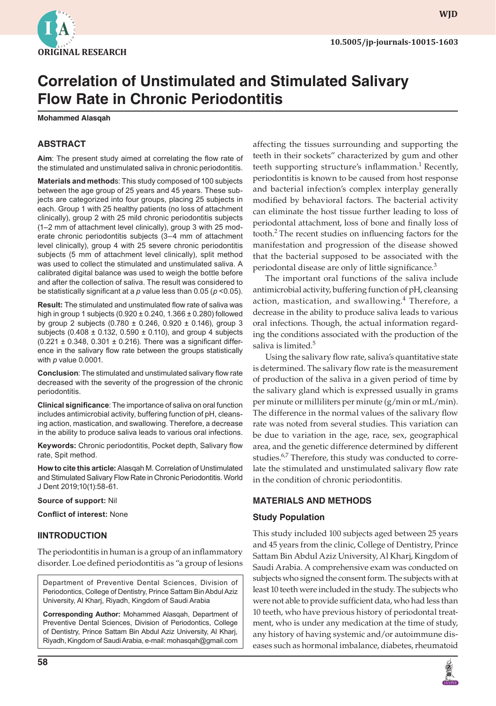

**WJD**

# **Correlation of Unstimulated and Stimulated Salivary Flow Rate in Chronic Periodontitis**

**Mohammed Alasqah**

# **ABSTRACT**

**Aim**: The present study aimed at correlating the flow rate of the stimulated and unstimulated saliva in chronic periodontitis.

**Materials and method**s: This study composed of 100 subjects between the age group of 25 years and 45 years. These subjects are categorized into four groups, placing 25 subjects in each. Group 1 with 25 healthy patients (no loss of attachment clinically), group 2 with 25 mild chronic periodontitis subjects (1–2 mm of attachment level clinically), group 3 with 25 moderate chronic periodontitis subjects (3–4 mm of attachment level clinically), group 4 with 25 severe chronic periodontitis subjects (5 mm of attachment level clinically), split method was used to collect the stimulated and unstimulated saliva. A calibrated digital balance was used to weigh the bottle before and after the collection of saliva. The result was considered to be statistically significant at a *p* value less than 0.05 (*p* <0.05).

**Result:** The stimulated and unstimulated flow rate of saliva was high in group 1 subjects (0.920 ± 0.240, 1.366 ± 0.280) followed by group 2 subjects (0.780 ± 0.246, 0.920 ± 0.146), group 3 subjects (0.408  $\pm$  0.132, 0.590  $\pm$  0.110), and group 4 subjects  $(0.221 \pm 0.348, 0.301 \pm 0.216)$ . There was a significant difference in the salivary flow rate between the groups statistically with *p* value 0.0001.

**Conclusion**: The stimulated and unstimulated salivary flow rate decreased with the severity of the progression of the chronic periodontitis.

**Clinical significance**: The importance of saliva on oral function includes antimicrobial activity, buffering function of pH, cleansing action, mastication, and swallowing. Therefore, a decrease in the ability to produce saliva leads to various oral infections.

**Keywords:** Chronic periodontitis, Pocket depth, Salivary flow rate, Spit method.

**How to cite this article:** Alasqah M. Correlation of Unstimulated and Stimulated Salivary Flow Rate in Chronic Periodontitis. World J Dent 2019;10(1):58-61.

**Source of support:** Nil

**Conflict of interest:** None

## **IINTRODUCTION**

The periodontitis in human is a group of an inflammatory disorder. Loe defined periodontitis as "a group of lesions

Department of Preventive Dental Sciences, Division of Periodontics, College of Dentistry, Prince Sattam Bin Abdul Aziz University, Al Kharj, Riyadh, Kingdom of Saudi Arabia

**Corresponding Author:** Mohammed Alasqah, Department of Preventive Dental Sciences, Division of Periodontics, College of Dentistry, Prince Sattam Bin Abdul Aziz University, Al Kharj, Riyadh, Kingdom of Saudi Arabia, e-mail: mohasqah@gmail.com

**58**

affecting the tissues surrounding and supporting the teeth in their sockets" characterized by gum and other teeth supporting structure's inflammation.<sup>1</sup> Recently, periodontitis is known to be caused from host response and bacterial infection's complex interplay generally modified by behavioral factors. The bacterial activity can eliminate the host tissue further leading to loss of periodontal attachment, loss of bone and finally loss of tooth.2 The recent studies on influencing factors for the manifestation and progression of the disease showed that the bacterial supposed to be associated with the periodontal disease are only of little significance.<sup>3</sup>

The important oral functions of the saliva include antimicrobial activity, buffering function of pH, cleansing action, mastication, and swallowing.<sup>4</sup> Therefore, a decrease in the ability to produce saliva leads to various oral infections. Though, the actual information regarding the conditions associated with the production of the saliva is limited.<sup>5</sup>

Using the salivary flow rate, saliva's quantitative state is determined. The salivary flow rate is the measurement of production of the saliva in a given period of time by the salivary gland which is expressed usually in grams per minute or milliliters per minute (g/min or mL/min). The difference in the normal values of the salivary flow rate was noted from several studies. This variation can be due to variation in the age, race, sex, geographical area, and the genetic difference determined by different studies. $6,7$  Therefore, this study was conducted to correlate the stimulated and unstimulated salivary flow rate in the condition of chronic periodontitis.

# **MATERIALS AND METHODS**

## **Study Population**

This study included 100 subjects aged between 25 years and 45 years from the clinic, College of Dentistry, Prince Sattam Bin Abdul Aziz University, Al Kharj, Kingdom of Saudi Arabia. A comprehensive exam was conducted on subjects who signed the consent form. The subjects with at least 10 teeth were included in the study. The subjects who were not able to provide sufficient data, who had less than 10 teeth, who have previous history of periodontal treatment, who is under any medication at the time of study, any history of having systemic and/or autoimmune diseases such as hormonal imbalance, diabetes, rheumatoid

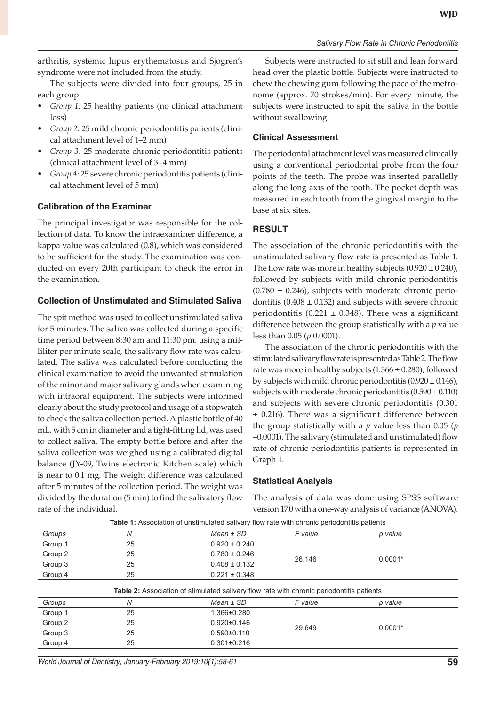arthritis, systemic lupus erythematosus and Sjogren's syndrome were not included from the study.

The subjects were divided into four groups, 25 in each group:

- *• Group 1:* 25 healthy patients (no clinical attachment loss)
- *• Group 2:* 25 mild chronic periodontitis patients (clinical attachment level of 1–2 mm)
- *• Group 3:* 25 moderate chronic periodontitis patients (clinical attachment level of 3–4 mm)
- *• Group 4:* 25 severe chronic periodontitis patients (clinical attachment level of 5 mm)

## **Calibration of the Examiner**

The principal investigator was responsible for the collection of data. To know the intraexaminer difference, a kappa value was calculated (0.8), which was considered to be sufficient for the study. The examination was conducted on every 20th participant to check the error in the examination.

## **Collection of Unstimulated and Stimulated Saliva**

The spit method was used to collect unstimulated saliva for 5 minutes. The saliva was collected during a specific time period between 8:30 am and 11:30 pm. using a milliliter per minute scale, the salivary flow rate was calculated. The saliva was calculated before conducting the clinical examination to avoid the unwanted stimulation of the minor and major salivary glands when examining with intraoral equipment. The subjects were informed clearly about the study protocol and usage of a stopwatch to check the saliva collection period. A plastic bottle of 40 mL, with 5 cm in diameter and a tight-fitting lid, was used to collect saliva. The empty bottle before and after the saliva collection was weighed using a calibrated digital balance (JY-09, Twins electronic Kitchen scale) which is near to 0.1 mg. The weight difference was calculated after 5 minutes of the collection period. The weight was divided by the duration (5 min) to find the salivatory flow rate of the individual.

Subjects were instructed to sit still and lean forward head over the plastic bottle. Subjects were instructed to chew the chewing gum following the pace of the metronome (approx. 70 strokes/min). For every minute, the subjects were instructed to spit the saliva in the bottle without swallowing.

## **Clinical Assessment**

The periodontal attachment level was measured clinically using a conventional periodontal probe from the four points of the teeth. The probe was inserted parallelly along the long axis of the tooth. The pocket depth was measured in each tooth from the gingival margin to the base at six sites.

# **RESULT**

The association of the chronic periodontitis with the unstimulated salivary flow rate is presented as Table 1. The flow rate was more in healthy subjects  $(0.920 \pm 0.240)$ , followed by subjects with mild chronic periodontitis  $(0.780 \pm 0.246)$ , subjects with moderate chronic periodontitis ( $0.408 \pm 0.132$ ) and subjects with severe chronic periodontitis (0.221  $\pm$  0.348). There was a significant difference between the group statistically with a *p* value less than 0.05 (*p* 0.0001).

The association of the chronic periodontitis with the stimulated salivary flow rate is presented as Table 2. The flow rate was more in healthy subjects  $(1.366 \pm 0.280)$ , followed by subjects with mild chronic periodontitis  $(0.920 \pm 0.146)$ , subjects with moderate chronic periodontitis  $(0.590 \pm 0.110)$ and subjects with severe chronic periodontitis (0.301 ± 0.216). There was a significant difference between the group statistically with a *p* value less than 0.05 (*p*  –0.0001). The salivary (stimulated and unstimulated) flow rate of chronic periodontitis patients is represented in Graph 1.

## **Statistical Analysis**

The analysis of data was done using SPSS software version 17.0 with a one-way analysis of variance (ANOVA).

| Groups  | N  | $Mean \pm SD$                                                                                    | F value | p value   |  |
|---------|----|--------------------------------------------------------------------------------------------------|---------|-----------|--|
| Group 1 | 25 | $0.920 \pm 0.240$                                                                                | 26.146  | $0.0001*$ |  |
| Group 2 | 25 | $0.780 \pm 0.246$                                                                                |         |           |  |
| Group 3 | 25 | $0.408 \pm 0.132$                                                                                |         |           |  |
| Group 4 | 25 | $0.221 \pm 0.348$                                                                                |         |           |  |
|         |    | <b>Table 2:</b> Association of stimulated salivary flow rate with chronic periodontitis patients |         |           |  |
| Groups  | N  | $Mean \pm SD$                                                                                    | F value | p value   |  |
| Group 1 | 25 | 1.366±0.280                                                                                      | 29.649  | $0.0001*$ |  |
| Group 2 | 25 | $0.920 \pm 0.146$                                                                                |         |           |  |
| Group 3 | 25 | $0.590 \pm 0.110$                                                                                |         |           |  |
| Group 4 | 25 | $0.301 \pm 0.216$                                                                                |         |           |  |
|         |    |                                                                                                  |         |           |  |

**Table 1:** Association of unstimulated salivary flow rate with chronic periodontitis patients

*World Journal of Dentistry, January-February 2019;10(1):58-61* **59**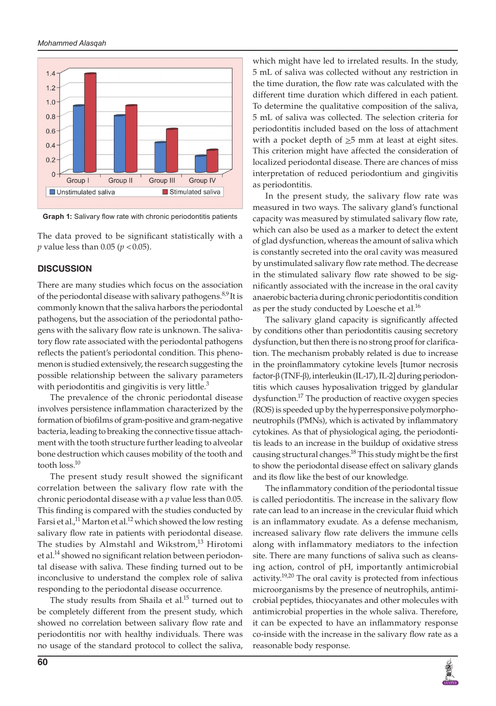#### *Mohammed Alasqah*



**Graph 1:** Salivary flow rate with chronic periodontitis patients

The data proved to be significant statistically with a *p* value less than 0.05 (*p* <0.05).

#### **DISCUSSION**

There are many studies which focus on the association of the periodontal disease with salivary pathogens.<sup>8,9</sup> It is commonly known that the saliva harbors the periodontal pathogens, but the association of the periodontal pathogens with the salivary flow rate is unknown. The salivatory flow rate associated with the periodontal pathogens reflects the patient's periodontal condition. This phenomenon is studied extensively, the research suggesting the possible relationship between the salivary parameters with periodontitis and gingivitis is very little. $3$ 

The prevalence of the chronic periodontal disease involves persistence inflammation characterized by the formation of biofilms of gram-positive and gram-negative bacteria, leading to breaking the connective tissue attachment with the tooth structure further leading to alveolar bone destruction which causes mobility of the tooth and tooth loss.<sup>10</sup>

The present study result showed the significant correlation between the salivary flow rate with the chronic periodontal disease with a *p* value less than 0.05. This finding is compared with the studies conducted by Farsi et al.,<sup>11</sup> Marton et al.<sup>12</sup> which showed the low resting salivary flow rate in patients with periodontal disease. The studies by Almstahl and Wikstrom,<sup>13</sup> Hirotomi et al.<sup>14</sup> showed no significant relation between periodontal disease with saliva. These finding turned out to be inconclusive to understand the complex role of saliva responding to the periodontal disease occurrence.

The study results from Shaila et al.<sup>15</sup> turned out to be completely different from the present study, which showed no correlation between salivary flow rate and periodontitis nor with healthy individuals. There was no usage of the standard protocol to collect the saliva,

which might have led to irrelated results. In the study, 5 mL of saliva was collected without any restriction in the time duration, the flow rate was calculated with the different time duration which differed in each patient. To determine the qualitative composition of the saliva, 5 mL of saliva was collected. The selection criteria for periodontitis included based on the loss of attachment with a pocket depth of  $\geq$ 5 mm at least at eight sites. This criterion might have affected the consideration of localized periodontal disease. There are chances of miss interpretation of reduced periodontium and gingivitis as periodontitis.

In the present study, the salivary flow rate was measured in two ways. The salivary gland's functional capacity was measured by stimulated salivary flow rate, which can also be used as a marker to detect the extent of glad dysfunction, whereas the amount of saliva which is constantly secreted into the oral cavity was measured by unstimulated salivary flow rate method. The decrease in the stimulated salivary flow rate showed to be significantly associated with the increase in the oral cavity anaerobic bacteria during chronic periodontitis condition as per the study conducted by Loesche et al.<sup>16</sup>

The salivary gland capacity is significantly affected by conditions other than periodontitis causing secretory dysfunction, but then there is no strong proof for clarification. The mechanism probably related is due to increase in the proinflammatory cytokine levels [tumor necrosis factor-β (TNF-β), interleukin (IL-17), IL-2] during periodontitis which causes hyposalivation trigged by glandular dysfunction.<sup>17</sup> The production of reactive oxygen species (ROS) is speeded up by the hyperresponsive polymorphoneutrophils (PMNs), which is activated by inflammatory cytokines. As that of physiological aging, the periodontitis leads to an increase in the buildup of oxidative stress causing structural changes.<sup>18</sup> This study might be the first to show the periodontal disease effect on salivary glands and its flow like the best of our knowledge.

The inflammatory condition of the periodontal tissue is called periodontitis. The increase in the salivary flow rate can lead to an increase in the crevicular fluid which is an inflammatory exudate. As a defense mechanism, increased salivary flow rate delivers the immune cells along with inflammatory mediators to the infection site. There are many functions of saliva such as cleansing action, control of pH, importantly antimicrobial activity.<sup>19,20</sup> The oral cavity is protected from infectious microorganisms by the presence of neutrophils, antimicrobial peptides, thiocyanates and other molecules with antimicrobial properties in the whole saliva. Therefore, it can be expected to have an inflammatory response co-inside with the increase in the salivary flow rate as a reasonable body response.